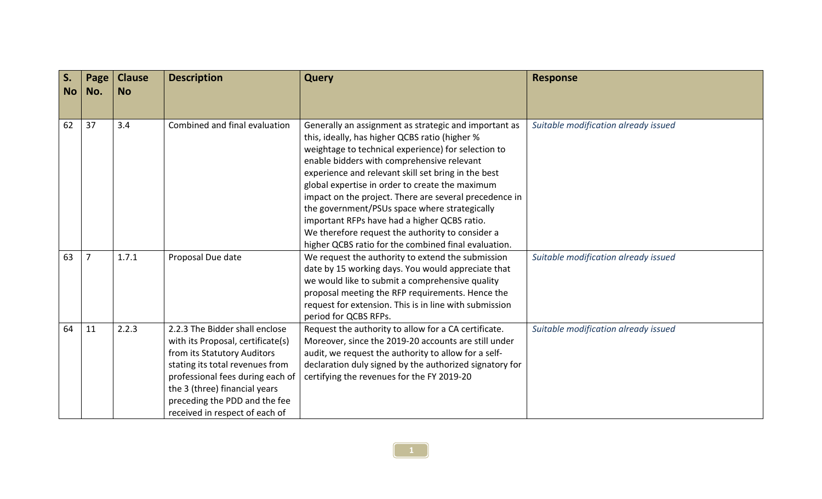| S.<br><b>No</b> | Page<br>No.    | <b>Clause</b><br><b>No</b> | <b>Description</b>                                                                                                                                                                                                                                                            | <b>Query</b>                                                                                                                                                                                                                                                                                                                                                                                                                                                                                                                                                                                  | <b>Response</b>                      |
|-----------------|----------------|----------------------------|-------------------------------------------------------------------------------------------------------------------------------------------------------------------------------------------------------------------------------------------------------------------------------|-----------------------------------------------------------------------------------------------------------------------------------------------------------------------------------------------------------------------------------------------------------------------------------------------------------------------------------------------------------------------------------------------------------------------------------------------------------------------------------------------------------------------------------------------------------------------------------------------|--------------------------------------|
|                 |                |                            |                                                                                                                                                                                                                                                                               |                                                                                                                                                                                                                                                                                                                                                                                                                                                                                                                                                                                               |                                      |
| 62              | 37             | 3.4                        | Combined and final evaluation                                                                                                                                                                                                                                                 | Generally an assignment as strategic and important as<br>this, ideally, has higher QCBS ratio (higher %<br>weightage to technical experience) for selection to<br>enable bidders with comprehensive relevant<br>experience and relevant skill set bring in the best<br>global expertise in order to create the maximum<br>impact on the project. There are several precedence in<br>the government/PSUs space where strategically<br>important RFPs have had a higher QCBS ratio.<br>We therefore request the authority to consider a<br>higher QCBS ratio for the combined final evaluation. | Suitable modification already issued |
| 63              | $\overline{7}$ | 1.7.1                      | Proposal Due date                                                                                                                                                                                                                                                             | We request the authority to extend the submission<br>date by 15 working days. You would appreciate that<br>we would like to submit a comprehensive quality<br>proposal meeting the RFP requirements. Hence the<br>request for extension. This is in line with submission<br>period for QCBS RFPs.                                                                                                                                                                                                                                                                                             | Suitable modification already issued |
| 64              | 11             | 2.2.3                      | 2.2.3 The Bidder shall enclose<br>with its Proposal, certificate(s)<br>from its Statutory Auditors<br>stating its total revenues from<br>professional fees during each of<br>the 3 (three) financial years<br>preceding the PDD and the fee<br>received in respect of each of | Request the authority to allow for a CA certificate.<br>Moreover, since the 2019-20 accounts are still under<br>audit, we request the authority to allow for a self-<br>declaration duly signed by the authorized signatory for<br>certifying the revenues for the FY 2019-20                                                                                                                                                                                                                                                                                                                 | Suitable modification already issued |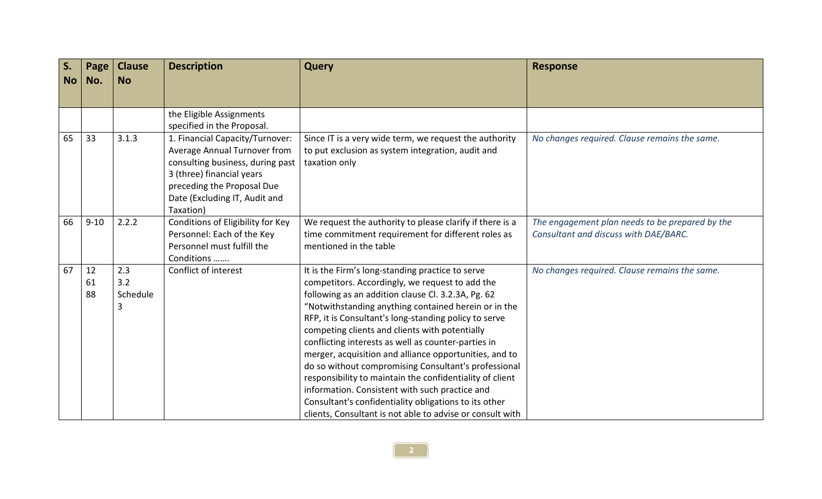| S.<br><b>No</b> | Page<br>No.    | <b>Clause</b><br><b>No</b>  | <b>Description</b>                                                                                                                                                                                           | <b>Query</b>                                                                                                                                                                                                                                                                                                                                                                                                                                                                                                                                                                                                                                                                                                                              | <b>Response</b>                                                                          |
|-----------------|----------------|-----------------------------|--------------------------------------------------------------------------------------------------------------------------------------------------------------------------------------------------------------|-------------------------------------------------------------------------------------------------------------------------------------------------------------------------------------------------------------------------------------------------------------------------------------------------------------------------------------------------------------------------------------------------------------------------------------------------------------------------------------------------------------------------------------------------------------------------------------------------------------------------------------------------------------------------------------------------------------------------------------------|------------------------------------------------------------------------------------------|
|                 |                |                             |                                                                                                                                                                                                              |                                                                                                                                                                                                                                                                                                                                                                                                                                                                                                                                                                                                                                                                                                                                           |                                                                                          |
|                 |                |                             | the Eligible Assignments<br>specified in the Proposal.                                                                                                                                                       |                                                                                                                                                                                                                                                                                                                                                                                                                                                                                                                                                                                                                                                                                                                                           |                                                                                          |
| 65              | 33             | 3.1.3                       | 1. Financial Capacity/Turnover:<br>Average Annual Turnover from<br>consulting business, during past<br>3 (three) financial years<br>preceding the Proposal Due<br>Date (Excluding IT, Audit and<br>Taxation) | Since IT is a very wide term, we request the authority<br>to put exclusion as system integration, audit and<br>taxation only                                                                                                                                                                                                                                                                                                                                                                                                                                                                                                                                                                                                              | No changes required. Clause remains the same.                                            |
| 66              | $9 - 10$       | 2.2.2                       | Conditions of Eligibility for Key<br>Personnel: Each of the Key<br>Personnel must fulfill the<br>Conditions                                                                                                  | We request the authority to please clarify if there is a<br>time commitment requirement for different roles as<br>mentioned in the table                                                                                                                                                                                                                                                                                                                                                                                                                                                                                                                                                                                                  | The engagement plan needs to be prepared by the<br>Consultant and discuss with DAE/BARC. |
| 67              | 12<br>61<br>88 | 2.3<br>3.2<br>Schedule<br>3 | Conflict of interest                                                                                                                                                                                         | It is the Firm's long-standing practice to serve<br>competitors. Accordingly, we request to add the<br>following as an addition clause Cl. 3.2.3A, Pg. 62<br>"Notwithstanding anything contained herein or in the<br>RFP, it is Consultant's long-standing policy to serve<br>competing clients and clients with potentially<br>conflicting interests as well as counter-parties in<br>merger, acquisition and alliance opportunities, and to<br>do so without compromising Consultant's professional<br>responsibility to maintain the confidentiality of client<br>information. Consistent with such practice and<br>Consultant's confidentiality obligations to its other<br>clients, Consultant is not able to advise or consult with | No changes required. Clause remains the same.                                            |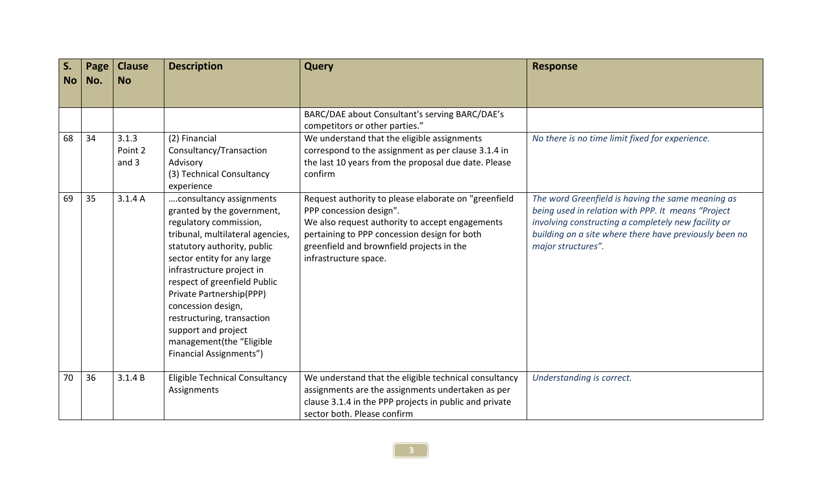| S.<br><b>No</b> | Page<br>No. | <b>Clause</b><br><b>No</b> | <b>Description</b>                                                                                                                                                                                                                                                                                                                                                                                                  | <b>Query</b>                                                                                                                                                                                                                                             | <b>Response</b>                                                                                                                                                                                                                                |
|-----------------|-------------|----------------------------|---------------------------------------------------------------------------------------------------------------------------------------------------------------------------------------------------------------------------------------------------------------------------------------------------------------------------------------------------------------------------------------------------------------------|----------------------------------------------------------------------------------------------------------------------------------------------------------------------------------------------------------------------------------------------------------|------------------------------------------------------------------------------------------------------------------------------------------------------------------------------------------------------------------------------------------------|
|                 |             |                            |                                                                                                                                                                                                                                                                                                                                                                                                                     |                                                                                                                                                                                                                                                          |                                                                                                                                                                                                                                                |
|                 |             |                            |                                                                                                                                                                                                                                                                                                                                                                                                                     | BARC/DAE about Consultant's serving BARC/DAE's<br>competitors or other parties."                                                                                                                                                                         |                                                                                                                                                                                                                                                |
| 68              | 34          | 3.1.3<br>Point 2<br>and 3  | (2) Financial<br>Consultancy/Transaction<br>Advisory<br>(3) Technical Consultancy<br>experience                                                                                                                                                                                                                                                                                                                     | We understand that the eligible assignments<br>correspond to the assignment as per clause 3.1.4 in<br>the last 10 years from the proposal due date. Please<br>confirm                                                                                    | No there is no time limit fixed for experience.                                                                                                                                                                                                |
| 69              | 35          | 3.1.4A                     | consultancy assignments<br>granted by the government,<br>regulatory commission,<br>tribunal, multilateral agencies,<br>statutory authority, public<br>sector entity for any large<br>infrastructure project in<br>respect of greenfield Public<br>Private Partnership(PPP)<br>concession design,<br>restructuring, transaction<br>support and project<br>management(the "Eligible<br><b>Financial Assignments")</b> | Request authority to please elaborate on "greenfield<br>PPP concession design".<br>We also request authority to accept engagements<br>pertaining to PPP concession design for both<br>greenfield and brownfield projects in the<br>infrastructure space. | The word Greenfield is having the same meaning as<br>being used in relation with PPP. It means "Project<br>involving constructing a completely new facility or<br>building on a site where there have previously been no<br>major structures". |
| 70              | 36          | 3.1.4 B                    | Eligible Technical Consultancy<br>Assignments                                                                                                                                                                                                                                                                                                                                                                       | We understand that the eligible technical consultancy<br>assignments are the assignments undertaken as per<br>clause 3.1.4 in the PPP projects in public and private<br>sector both. Please confirm                                                      | Understanding is correct.                                                                                                                                                                                                                      |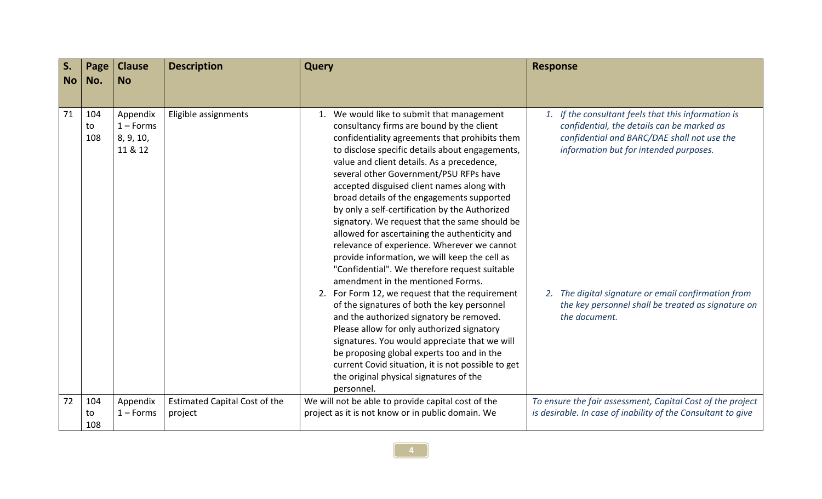| S.<br><b>No</b> | Page<br>No.      | <b>Clause</b><br><b>No</b>                      | <b>Description</b>                              | <b>Query</b>                                                                                                                                                                                                                                                                                                                                                                                                                                                                                                                                                                                                                                                                                                                                                                                                                                                                                                                                                                                                                                                                                                                         | <b>Response</b>                                                                                                                                                                                                                                                                                                          |
|-----------------|------------------|-------------------------------------------------|-------------------------------------------------|--------------------------------------------------------------------------------------------------------------------------------------------------------------------------------------------------------------------------------------------------------------------------------------------------------------------------------------------------------------------------------------------------------------------------------------------------------------------------------------------------------------------------------------------------------------------------------------------------------------------------------------------------------------------------------------------------------------------------------------------------------------------------------------------------------------------------------------------------------------------------------------------------------------------------------------------------------------------------------------------------------------------------------------------------------------------------------------------------------------------------------------|--------------------------------------------------------------------------------------------------------------------------------------------------------------------------------------------------------------------------------------------------------------------------------------------------------------------------|
|                 |                  |                                                 |                                                 |                                                                                                                                                                                                                                                                                                                                                                                                                                                                                                                                                                                                                                                                                                                                                                                                                                                                                                                                                                                                                                                                                                                                      |                                                                                                                                                                                                                                                                                                                          |
| 71              | 104<br>to<br>108 | Appendix<br>$1 -$ Forms<br>8, 9, 10,<br>11 & 12 | Eligible assignments                            | 1. We would like to submit that management<br>consultancy firms are bound by the client<br>confidentiality agreements that prohibits them<br>to disclose specific details about engagements,<br>value and client details. As a precedence,<br>several other Government/PSU RFPs have<br>accepted disguised client names along with<br>broad details of the engagements supported<br>by only a self-certification by the Authorized<br>signatory. We request that the same should be<br>allowed for ascertaining the authenticity and<br>relevance of experience. Wherever we cannot<br>provide information, we will keep the cell as<br>"Confidential". We therefore request suitable<br>amendment in the mentioned Forms.<br>2. For Form 12, we request that the requirement<br>of the signatures of both the key personnel<br>and the authorized signatory be removed.<br>Please allow for only authorized signatory<br>signatures. You would appreciate that we will<br>be proposing global experts too and in the<br>current Covid situation, it is not possible to get<br>the original physical signatures of the<br>personnel. | 1. If the consultant feels that this information is<br>confidential, the details can be marked as<br>confidential and BARC/DAE shall not use the<br>information but for intended purposes.<br>2. The digital signature or email confirmation from<br>the key personnel shall be treated as signature on<br>the document. |
| 72              | 104<br>to        | Appendix<br>$1 -$ Forms                         | <b>Estimated Capital Cost of the</b><br>project | We will not be able to provide capital cost of the<br>project as it is not know or in public domain. We                                                                                                                                                                                                                                                                                                                                                                                                                                                                                                                                                                                                                                                                                                                                                                                                                                                                                                                                                                                                                              | To ensure the fair assessment, Capital Cost of the project<br>is desirable. In case of inability of the Consultant to give                                                                                                                                                                                               |
|                 | 108              |                                                 |                                                 |                                                                                                                                                                                                                                                                                                                                                                                                                                                                                                                                                                                                                                                                                                                                                                                                                                                                                                                                                                                                                                                                                                                                      |                                                                                                                                                                                                                                                                                                                          |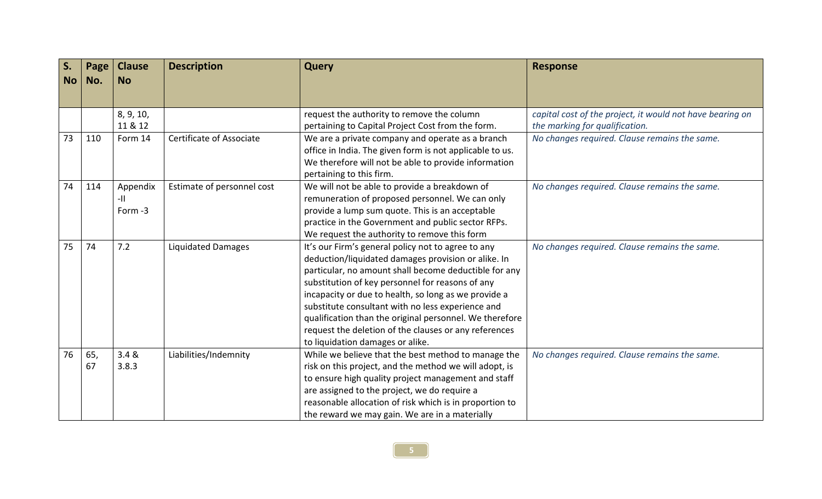| S.        | Page | <b>Clause</b> | <b>Description</b>         | <b>Query</b>                                             | <b>Response</b>                                           |
|-----------|------|---------------|----------------------------|----------------------------------------------------------|-----------------------------------------------------------|
| <b>No</b> | No.  | <b>No</b>     |                            |                                                          |                                                           |
|           |      |               |                            |                                                          |                                                           |
|           |      |               |                            |                                                          |                                                           |
|           |      | 8, 9, 10,     |                            | request the authority to remove the column               | capital cost of the project, it would not have bearing on |
|           |      | 11 & 12       |                            | pertaining to Capital Project Cost from the form.        | the marking for qualification.                            |
| 73        | 110  | Form 14       | Certificate of Associate   | We are a private company and operate as a branch         | No changes required. Clause remains the same.             |
|           |      |               |                            | office in India. The given form is not applicable to us. |                                                           |
|           |      |               |                            | We therefore will not be able to provide information     |                                                           |
|           |      |               |                            | pertaining to this firm.                                 |                                                           |
| 74        | 114  | Appendix      | Estimate of personnel cost | We will not be able to provide a breakdown of            | No changes required. Clause remains the same.             |
|           |      | -11           |                            | remuneration of proposed personnel. We can only          |                                                           |
|           |      | Form -3       |                            | provide a lump sum quote. This is an acceptable          |                                                           |
|           |      |               |                            | practice in the Government and public sector RFPs.       |                                                           |
|           |      |               |                            | We request the authority to remove this form             |                                                           |
| 75        | 74   | 7.2           | <b>Liquidated Damages</b>  | It's our Firm's general policy not to agree to any       | No changes required. Clause remains the same.             |
|           |      |               |                            | deduction/liquidated damages provision or alike. In      |                                                           |
|           |      |               |                            | particular, no amount shall become deductible for any    |                                                           |
|           |      |               |                            | substitution of key personnel for reasons of any         |                                                           |
|           |      |               |                            | incapacity or due to health, so long as we provide a     |                                                           |
|           |      |               |                            | substitute consultant with no less experience and        |                                                           |
|           |      |               |                            | qualification than the original personnel. We therefore  |                                                           |
|           |      |               |                            | request the deletion of the clauses or any references    |                                                           |
|           |      |               |                            | to liquidation damages or alike.                         |                                                           |
| 76        | 65,  | 3.4 &         | Liabilities/Indemnity      | While we believe that the best method to manage the      | No changes required. Clause remains the same.             |
|           | 67   | 3.8.3         |                            | risk on this project, and the method we will adopt, is   |                                                           |
|           |      |               |                            | to ensure high quality project management and staff      |                                                           |
|           |      |               |                            | are assigned to the project, we do require a             |                                                           |
|           |      |               |                            | reasonable allocation of risk which is in proportion to  |                                                           |
|           |      |               |                            | the reward we may gain. We are in a materially           |                                                           |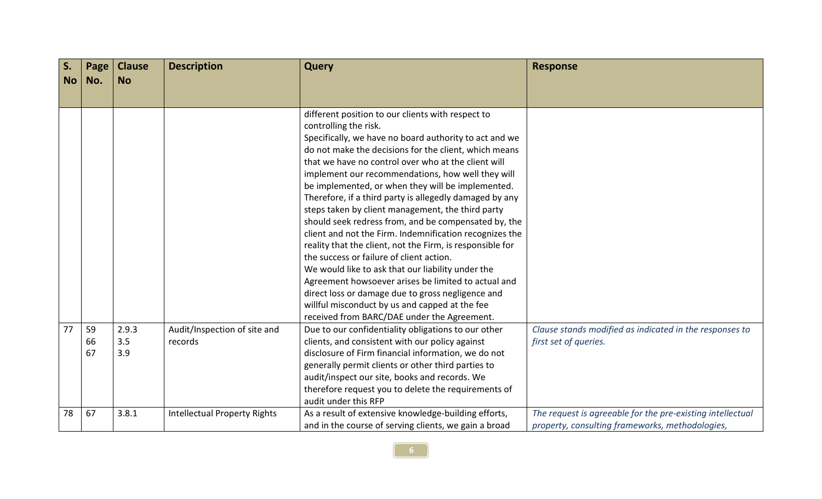| S.        | Page | <b>Clause</b> | <b>Description</b>                  | <b>Query</b>                                                                                                 | <b>Response</b>                                            |
|-----------|------|---------------|-------------------------------------|--------------------------------------------------------------------------------------------------------------|------------------------------------------------------------|
| <b>No</b> | No.  | <b>No</b>     |                                     |                                                                                                              |                                                            |
|           |      |               |                                     |                                                                                                              |                                                            |
|           |      |               |                                     | different position to our clients with respect to                                                            |                                                            |
|           |      |               |                                     | controlling the risk.                                                                                        |                                                            |
|           |      |               |                                     | Specifically, we have no board authority to act and we                                                       |                                                            |
|           |      |               |                                     | do not make the decisions for the client, which means                                                        |                                                            |
|           |      |               |                                     | that we have no control over who at the client will                                                          |                                                            |
|           |      |               |                                     | implement our recommendations, how well they will                                                            |                                                            |
|           |      |               |                                     | be implemented, or when they will be implemented.                                                            |                                                            |
|           |      |               |                                     | Therefore, if a third party is allegedly damaged by any<br>steps taken by client management, the third party |                                                            |
|           |      |               |                                     | should seek redress from, and be compensated by, the                                                         |                                                            |
|           |      |               |                                     | client and not the Firm. Indemnification recognizes the                                                      |                                                            |
|           |      |               |                                     | reality that the client, not the Firm, is responsible for                                                    |                                                            |
|           |      |               |                                     | the success or failure of client action.                                                                     |                                                            |
|           |      |               |                                     | We would like to ask that our liability under the                                                            |                                                            |
|           |      |               |                                     | Agreement howsoever arises be limited to actual and                                                          |                                                            |
|           |      |               |                                     | direct loss or damage due to gross negligence and                                                            |                                                            |
|           |      |               |                                     | willful misconduct by us and capped at the fee                                                               |                                                            |
|           |      |               |                                     | received from BARC/DAE under the Agreement.                                                                  |                                                            |
| 77        | 59   | 2.9.3         | Audit/Inspection of site and        | Due to our confidentiality obligations to our other                                                          | Clause stands modified as indicated in the responses to    |
|           | 66   | 3.5           | records                             | clients, and consistent with our policy against                                                              | first set of queries.                                      |
|           | 67   | 3.9           |                                     | disclosure of Firm financial information, we do not                                                          |                                                            |
|           |      |               |                                     | generally permit clients or other third parties to                                                           |                                                            |
|           |      |               |                                     | audit/inspect our site, books and records. We                                                                |                                                            |
|           |      |               |                                     | therefore request you to delete the requirements of                                                          |                                                            |
|           |      |               |                                     | audit under this RFP                                                                                         |                                                            |
| 78        | 67   | 3.8.1         | <b>Intellectual Property Rights</b> | As a result of extensive knowledge-building efforts,                                                         | The request is agreeable for the pre-existing intellectual |
|           |      |               |                                     | and in the course of serving clients, we gain a broad                                                        | property, consulting frameworks, methodologies,            |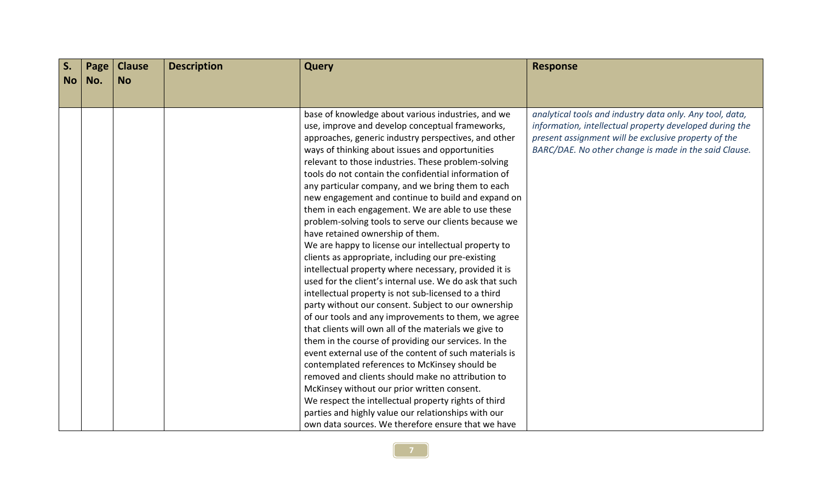| Page | <b>Clause</b> | <b>Description</b> | <b>Query</b>                                          | <b>Response</b>                                                                                                                                                                                                                                                                                                                                                                                                                                                                                                                                                                                                                                                                                                                                                                                                                                                                                                                                                                                                                                                                                                                                                                  |
|------|---------------|--------------------|-------------------------------------------------------|----------------------------------------------------------------------------------------------------------------------------------------------------------------------------------------------------------------------------------------------------------------------------------------------------------------------------------------------------------------------------------------------------------------------------------------------------------------------------------------------------------------------------------------------------------------------------------------------------------------------------------------------------------------------------------------------------------------------------------------------------------------------------------------------------------------------------------------------------------------------------------------------------------------------------------------------------------------------------------------------------------------------------------------------------------------------------------------------------------------------------------------------------------------------------------|
| No.  | <b>No</b>     |                    |                                                       |                                                                                                                                                                                                                                                                                                                                                                                                                                                                                                                                                                                                                                                                                                                                                                                                                                                                                                                                                                                                                                                                                                                                                                                  |
|      |               |                    |                                                       |                                                                                                                                                                                                                                                                                                                                                                                                                                                                                                                                                                                                                                                                                                                                                                                                                                                                                                                                                                                                                                                                                                                                                                                  |
|      |               |                    |                                                       | analytical tools and industry data only. Any tool, data,                                                                                                                                                                                                                                                                                                                                                                                                                                                                                                                                                                                                                                                                                                                                                                                                                                                                                                                                                                                                                                                                                                                         |
|      |               |                    |                                                       | information, intellectual property developed during the                                                                                                                                                                                                                                                                                                                                                                                                                                                                                                                                                                                                                                                                                                                                                                                                                                                                                                                                                                                                                                                                                                                          |
|      |               |                    |                                                       | present assignment will be exclusive property of the                                                                                                                                                                                                                                                                                                                                                                                                                                                                                                                                                                                                                                                                                                                                                                                                                                                                                                                                                                                                                                                                                                                             |
|      |               |                    |                                                       | BARC/DAE. No other change is made in the said Clause.                                                                                                                                                                                                                                                                                                                                                                                                                                                                                                                                                                                                                                                                                                                                                                                                                                                                                                                                                                                                                                                                                                                            |
|      |               |                    |                                                       |                                                                                                                                                                                                                                                                                                                                                                                                                                                                                                                                                                                                                                                                                                                                                                                                                                                                                                                                                                                                                                                                                                                                                                                  |
|      |               |                    |                                                       |                                                                                                                                                                                                                                                                                                                                                                                                                                                                                                                                                                                                                                                                                                                                                                                                                                                                                                                                                                                                                                                                                                                                                                                  |
|      |               |                    |                                                       |                                                                                                                                                                                                                                                                                                                                                                                                                                                                                                                                                                                                                                                                                                                                                                                                                                                                                                                                                                                                                                                                                                                                                                                  |
|      |               |                    |                                                       |                                                                                                                                                                                                                                                                                                                                                                                                                                                                                                                                                                                                                                                                                                                                                                                                                                                                                                                                                                                                                                                                                                                                                                                  |
|      |               |                    | them in each engagement. We are able to use these     |                                                                                                                                                                                                                                                                                                                                                                                                                                                                                                                                                                                                                                                                                                                                                                                                                                                                                                                                                                                                                                                                                                                                                                                  |
|      |               |                    | problem-solving tools to serve our clients because we |                                                                                                                                                                                                                                                                                                                                                                                                                                                                                                                                                                                                                                                                                                                                                                                                                                                                                                                                                                                                                                                                                                                                                                                  |
|      |               |                    | have retained ownership of them.                      |                                                                                                                                                                                                                                                                                                                                                                                                                                                                                                                                                                                                                                                                                                                                                                                                                                                                                                                                                                                                                                                                                                                                                                                  |
|      |               |                    | We are happy to license our intellectual property to  |                                                                                                                                                                                                                                                                                                                                                                                                                                                                                                                                                                                                                                                                                                                                                                                                                                                                                                                                                                                                                                                                                                                                                                                  |
|      |               |                    | clients as appropriate, including our pre-existing    |                                                                                                                                                                                                                                                                                                                                                                                                                                                                                                                                                                                                                                                                                                                                                                                                                                                                                                                                                                                                                                                                                                                                                                                  |
|      |               |                    | intellectual property where necessary, provided it is |                                                                                                                                                                                                                                                                                                                                                                                                                                                                                                                                                                                                                                                                                                                                                                                                                                                                                                                                                                                                                                                                                                                                                                                  |
|      |               |                    |                                                       |                                                                                                                                                                                                                                                                                                                                                                                                                                                                                                                                                                                                                                                                                                                                                                                                                                                                                                                                                                                                                                                                                                                                                                                  |
|      |               |                    |                                                       |                                                                                                                                                                                                                                                                                                                                                                                                                                                                                                                                                                                                                                                                                                                                                                                                                                                                                                                                                                                                                                                                                                                                                                                  |
|      |               |                    |                                                       |                                                                                                                                                                                                                                                                                                                                                                                                                                                                                                                                                                                                                                                                                                                                                                                                                                                                                                                                                                                                                                                                                                                                                                                  |
|      |               |                    |                                                       |                                                                                                                                                                                                                                                                                                                                                                                                                                                                                                                                                                                                                                                                                                                                                                                                                                                                                                                                                                                                                                                                                                                                                                                  |
|      |               |                    |                                                       |                                                                                                                                                                                                                                                                                                                                                                                                                                                                                                                                                                                                                                                                                                                                                                                                                                                                                                                                                                                                                                                                                                                                                                                  |
|      |               |                    |                                                       |                                                                                                                                                                                                                                                                                                                                                                                                                                                                                                                                                                                                                                                                                                                                                                                                                                                                                                                                                                                                                                                                                                                                                                                  |
|      |               |                    |                                                       |                                                                                                                                                                                                                                                                                                                                                                                                                                                                                                                                                                                                                                                                                                                                                                                                                                                                                                                                                                                                                                                                                                                                                                                  |
|      |               |                    |                                                       |                                                                                                                                                                                                                                                                                                                                                                                                                                                                                                                                                                                                                                                                                                                                                                                                                                                                                                                                                                                                                                                                                                                                                                                  |
|      |               |                    |                                                       |                                                                                                                                                                                                                                                                                                                                                                                                                                                                                                                                                                                                                                                                                                                                                                                                                                                                                                                                                                                                                                                                                                                                                                                  |
|      |               |                    |                                                       |                                                                                                                                                                                                                                                                                                                                                                                                                                                                                                                                                                                                                                                                                                                                                                                                                                                                                                                                                                                                                                                                                                                                                                                  |
|      |               |                    |                                                       |                                                                                                                                                                                                                                                                                                                                                                                                                                                                                                                                                                                                                                                                                                                                                                                                                                                                                                                                                                                                                                                                                                                                                                                  |
|      |               |                    |                                                       |                                                                                                                                                                                                                                                                                                                                                                                                                                                                                                                                                                                                                                                                                                                                                                                                                                                                                                                                                                                                                                                                                                                                                                                  |
|      |               |                    |                                                       | base of knowledge about various industries, and we<br>use, improve and develop conceptual frameworks,<br>approaches, generic industry perspectives, and other<br>ways of thinking about issues and opportunities<br>relevant to those industries. These problem-solving<br>tools do not contain the confidential information of<br>any particular company, and we bring them to each<br>new engagement and continue to build and expand on<br>used for the client's internal use. We do ask that such<br>intellectual property is not sub-licensed to a third<br>party without our consent. Subject to our ownership<br>of our tools and any improvements to them, we agree<br>that clients will own all of the materials we give to<br>them in the course of providing our services. In the<br>event external use of the content of such materials is<br>contemplated references to McKinsey should be<br>removed and clients should make no attribution to<br>McKinsey without our prior written consent.<br>We respect the intellectual property rights of third<br>parties and highly value our relationships with our<br>own data sources. We therefore ensure that we have |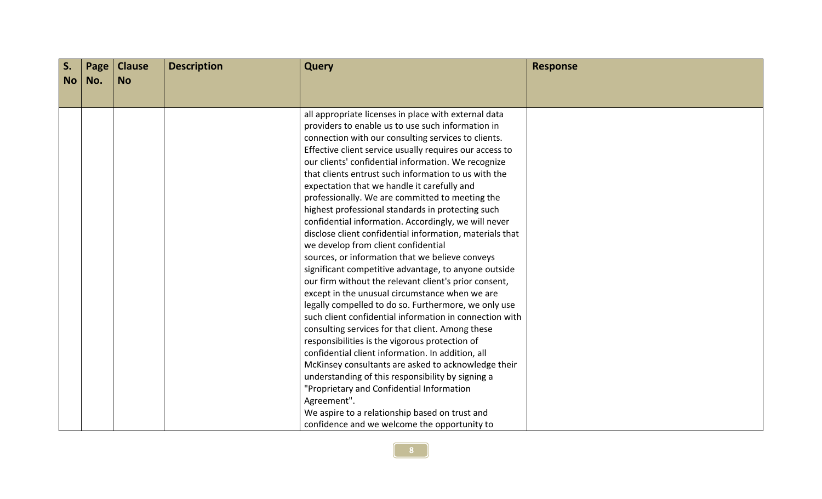| S.        | Page | <b>Clause</b> | <b>Description</b> | <b>Query</b>                                                                                              | <b>Response</b> |
|-----------|------|---------------|--------------------|-----------------------------------------------------------------------------------------------------------|-----------------|
| <b>No</b> | No.  | <b>No</b>     |                    |                                                                                                           |                 |
|           |      |               |                    |                                                                                                           |                 |
|           |      |               |                    | all appropriate licenses in place with external data<br>providers to enable us to use such information in |                 |
|           |      |               |                    | connection with our consulting services to clients.                                                       |                 |
|           |      |               |                    | Effective client service usually requires our access to                                                   |                 |
|           |      |               |                    | our clients' confidential information. We recognize                                                       |                 |
|           |      |               |                    | that clients entrust such information to us with the                                                      |                 |
|           |      |               |                    | expectation that we handle it carefully and                                                               |                 |
|           |      |               |                    | professionally. We are committed to meeting the                                                           |                 |
|           |      |               |                    | highest professional standards in protecting such                                                         |                 |
|           |      |               |                    | confidential information. Accordingly, we will never                                                      |                 |
|           |      |               |                    | disclose client confidential information, materials that                                                  |                 |
|           |      |               |                    | we develop from client confidential                                                                       |                 |
|           |      |               |                    | sources, or information that we believe conveys                                                           |                 |
|           |      |               |                    | significant competitive advantage, to anyone outside                                                      |                 |
|           |      |               |                    | our firm without the relevant client's prior consent,                                                     |                 |
|           |      |               |                    | except in the unusual circumstance when we are<br>legally compelled to do so. Furthermore, we only use    |                 |
|           |      |               |                    | such client confidential information in connection with                                                   |                 |
|           |      |               |                    | consulting services for that client. Among these                                                          |                 |
|           |      |               |                    | responsibilities is the vigorous protection of                                                            |                 |
|           |      |               |                    | confidential client information. In addition, all                                                         |                 |
|           |      |               |                    | McKinsey consultants are asked to acknowledge their                                                       |                 |
|           |      |               |                    | understanding of this responsibility by signing a                                                         |                 |
|           |      |               |                    | "Proprietary and Confidential Information                                                                 |                 |
|           |      |               |                    | Agreement".                                                                                               |                 |
|           |      |               |                    | We aspire to a relationship based on trust and                                                            |                 |
|           |      |               |                    | confidence and we welcome the opportunity to                                                              |                 |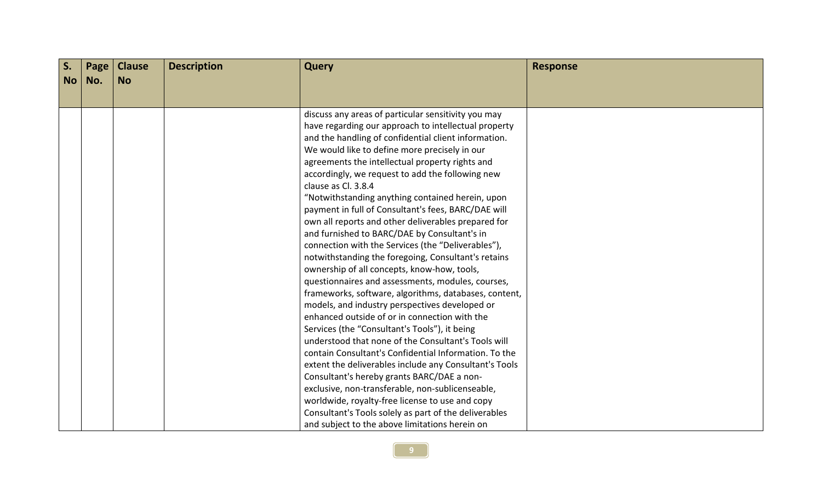| $S_{\cdot}$ | Page | <b>Clause</b> | <b>Description</b> | <b>Query</b>                                                                                       | <b>Response</b> |
|-------------|------|---------------|--------------------|----------------------------------------------------------------------------------------------------|-----------------|
| <b>No</b>   | No.  | <b>No</b>     |                    |                                                                                                    |                 |
|             |      |               |                    |                                                                                                    |                 |
|             |      |               |                    | discuss any areas of particular sensitivity you may                                                |                 |
|             |      |               |                    | have regarding our approach to intellectual property                                               |                 |
|             |      |               |                    | and the handling of confidential client information.                                               |                 |
|             |      |               |                    | We would like to define more precisely in our                                                      |                 |
|             |      |               |                    | agreements the intellectual property rights and                                                    |                 |
|             |      |               |                    | accordingly, we request to add the following new                                                   |                 |
|             |      |               |                    | clause as Cl. 3.8.4                                                                                |                 |
|             |      |               |                    | "Notwithstanding anything contained herein, upon                                                   |                 |
|             |      |               |                    | payment in full of Consultant's fees, BARC/DAE will                                                |                 |
|             |      |               |                    | own all reports and other deliverables prepared for                                                |                 |
|             |      |               |                    | and furnished to BARC/DAE by Consultant's in                                                       |                 |
|             |      |               |                    | connection with the Services (the "Deliverables"),                                                 |                 |
|             |      |               |                    | notwithstanding the foregoing, Consultant's retains<br>ownership of all concepts, know-how, tools, |                 |
|             |      |               |                    | questionnaires and assessments, modules, courses,                                                  |                 |
|             |      |               |                    | frameworks, software, algorithms, databases, content,                                              |                 |
|             |      |               |                    | models, and industry perspectives developed or                                                     |                 |
|             |      |               |                    | enhanced outside of or in connection with the                                                      |                 |
|             |      |               |                    | Services (the "Consultant's Tools"), it being                                                      |                 |
|             |      |               |                    | understood that none of the Consultant's Tools will                                                |                 |
|             |      |               |                    | contain Consultant's Confidential Information. To the                                              |                 |
|             |      |               |                    | extent the deliverables include any Consultant's Tools                                             |                 |
|             |      |               |                    | Consultant's hereby grants BARC/DAE a non-                                                         |                 |
|             |      |               |                    | exclusive, non-transferable, non-sublicenseable,                                                   |                 |
|             |      |               |                    | worldwide, royalty-free license to use and copy                                                    |                 |
|             |      |               |                    | Consultant's Tools solely as part of the deliverables                                              |                 |
|             |      |               |                    | and subject to the above limitations herein on                                                     |                 |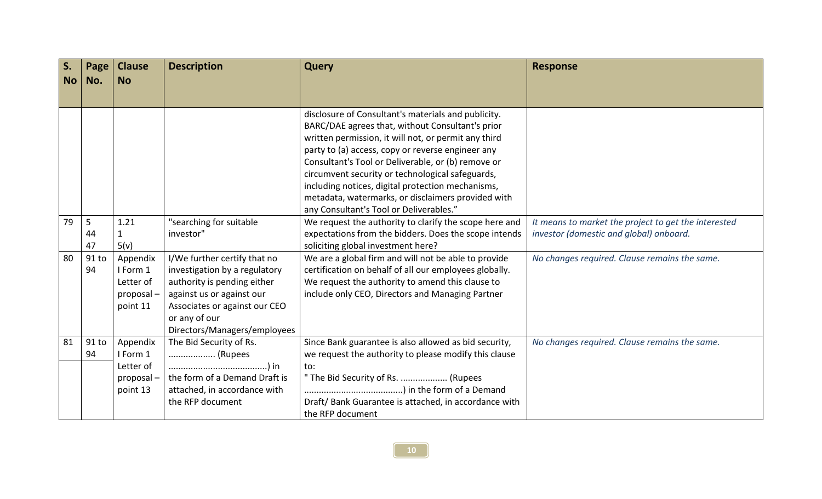| S.        | Page           | <b>Clause</b> | <b>Description</b>                            | <b>Query</b>                                           | <b>Response</b>                                      |
|-----------|----------------|---------------|-----------------------------------------------|--------------------------------------------------------|------------------------------------------------------|
| <b>No</b> | No.            | <b>No</b>     |                                               |                                                        |                                                      |
|           |                |               |                                               |                                                        |                                                      |
|           |                |               |                                               | disclosure of Consultant's materials and publicity.    |                                                      |
|           |                |               |                                               | BARC/DAE agrees that, without Consultant's prior       |                                                      |
|           |                |               |                                               | written permission, it will not, or permit any third   |                                                      |
|           |                |               |                                               | party to (a) access, copy or reverse engineer any      |                                                      |
|           |                |               |                                               | Consultant's Tool or Deliverable, or (b) remove or     |                                                      |
|           |                |               |                                               | circumvent security or technological safeguards,       |                                                      |
|           |                |               |                                               | including notices, digital protection mechanisms,      |                                                      |
|           |                |               |                                               | metadata, watermarks, or disclaimers provided with     |                                                      |
|           |                |               |                                               | any Consultant's Tool or Deliverables."                |                                                      |
| 79        | $\overline{5}$ | 1.21          | "searching for suitable                       | We request the authority to clarify the scope here and | It means to market the project to get the interested |
|           | 44             |               | investor"                                     | expectations from the bidders. Does the scope intends  | investor (domestic and global) onboard.              |
|           | 47             | 5(v)          |                                               | soliciting global investment here?                     |                                                      |
| 80        | 91 to          | Appendix      | I/We further certify that no                  | We are a global firm and will not be able to provide   | No changes required. Clause remains the same.        |
|           | 94             | I Form 1      | investigation by a regulatory                 | certification on behalf of all our employees globally. |                                                      |
|           |                | Letter of     | authority is pending either                   | We request the authority to amend this clause to       |                                                      |
|           |                | proposal-     | against us or against our                     | include only CEO, Directors and Managing Partner       |                                                      |
|           |                | point 11      | Associates or against our CEO                 |                                                        |                                                      |
|           |                |               | or any of our<br>Directors/Managers/employees |                                                        |                                                      |
| 81        | $91$ to        | Appendix      | The Bid Security of Rs.                       | Since Bank guarantee is also allowed as bid security,  | No changes required. Clause remains the same.        |
|           | 94             | I Form 1      | (Rupees                                       | we request the authority to please modify this clause  |                                                      |
|           |                | Letter of     |                                               | to:                                                    |                                                      |
|           |                | proposal-     | the form of a Demand Draft is                 | " The Bid Security of Rs.  (Rupees                     |                                                      |
|           |                | point 13      | attached, in accordance with                  |                                                        |                                                      |
|           |                |               | the RFP document                              | Draft/ Bank Guarantee is attached, in accordance with  |                                                      |
|           |                |               |                                               | the RFP document                                       |                                                      |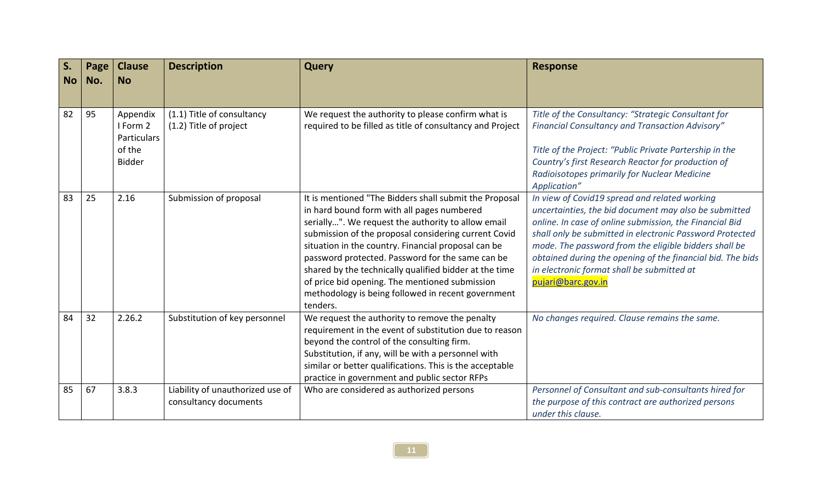| S.<br><b>No</b> | Page<br>No. | <b>Clause</b><br><b>No</b>                                     | <b>Description</b>                                        | <b>Query</b>                                                                                                                                                                                                                                                                                                                                                                                                                                                                                                | <b>Response</b>                                                                                                                                                                                                                                                                                                                                                                                                          |
|-----------------|-------------|----------------------------------------------------------------|-----------------------------------------------------------|-------------------------------------------------------------------------------------------------------------------------------------------------------------------------------------------------------------------------------------------------------------------------------------------------------------------------------------------------------------------------------------------------------------------------------------------------------------------------------------------------------------|--------------------------------------------------------------------------------------------------------------------------------------------------------------------------------------------------------------------------------------------------------------------------------------------------------------------------------------------------------------------------------------------------------------------------|
| 82              | 95          | Appendix<br>I Form 2<br>Particulars<br>of the<br><b>Bidder</b> | (1.1) Title of consultancy<br>(1.2) Title of project      | We request the authority to please confirm what is<br>required to be filled as title of consultancy and Project                                                                                                                                                                                                                                                                                                                                                                                             | Title of the Consultancy: "Strategic Consultant for<br>Financial Consultancy and Transaction Advisory"<br>Title of the Project: "Public Private Partership in the<br>Country's first Research Reactor for production of<br>Radioisotopes primarily for Nuclear Medicine<br>Application"                                                                                                                                  |
| 83              | 25          | 2.16                                                           | Submission of proposal                                    | It is mentioned "The Bidders shall submit the Proposal<br>in hard bound form with all pages numbered<br>serially". We request the authority to allow email<br>submission of the proposal considering current Covid<br>situation in the country. Financial proposal can be<br>password protected. Password for the same can be<br>shared by the technically qualified bidder at the time<br>of price bid opening. The mentioned submission<br>methodology is being followed in recent government<br>tenders. | In view of Covid19 spread and related working<br>uncertainties, the bid document may also be submitted<br>online. In case of online submission, the Financial Bid<br>shall only be submitted in electronic Password Protected<br>mode. The password from the eligible bidders shall be<br>obtained during the opening of the financial bid. The bids<br>in electronic format shall be submitted at<br>pujari@barc.gov.in |
| 84              | 32          | 2.26.2                                                         | Substitution of key personnel                             | We request the authority to remove the penalty<br>requirement in the event of substitution due to reason<br>beyond the control of the consulting firm.<br>Substitution, if any, will be with a personnel with<br>similar or better qualifications. This is the acceptable<br>practice in government and public sector RFPs                                                                                                                                                                                  | No changes required. Clause remains the same.                                                                                                                                                                                                                                                                                                                                                                            |
| 85              | 67          | 3.8.3                                                          | Liability of unauthorized use of<br>consultancy documents | Who are considered as authorized persons                                                                                                                                                                                                                                                                                                                                                                                                                                                                    | Personnel of Consultant and sub-consultants hired for<br>the purpose of this contract are authorized persons<br>under this clause.                                                                                                                                                                                                                                                                                       |